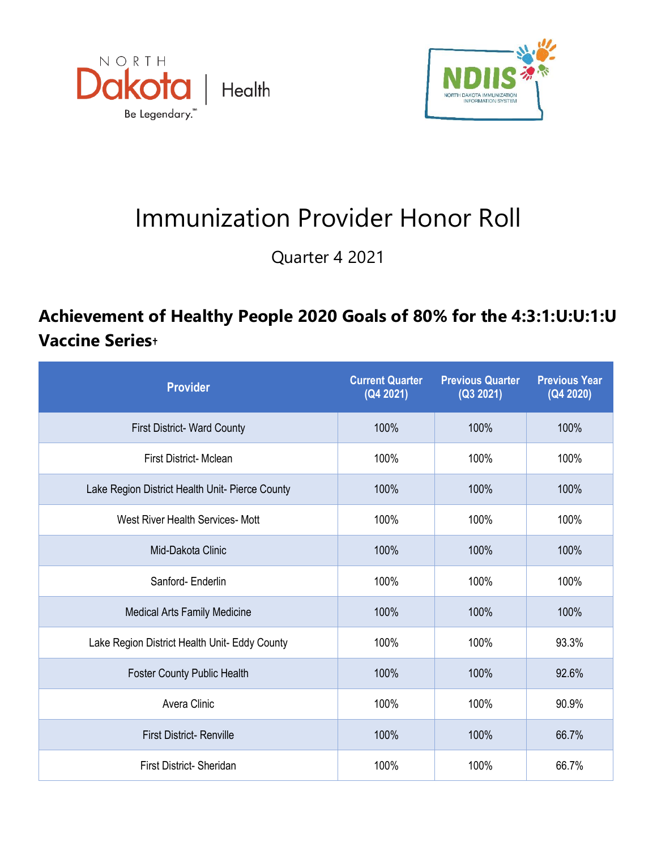



## Immunization Provider Honor Roll

Quarter 4 2021

## **Achievement of Healthy People 2020 Goals of 80% for the 4:3:1:U:U:1:U Vaccine Series†**

| <b>Provider</b>                                 | <b>Current Quarter</b><br>(Q4 2021) | <b>Previous Quarter</b><br>(Q3 2021) | <b>Previous Year</b><br>(Q4 2020) |
|-------------------------------------------------|-------------------------------------|--------------------------------------|-----------------------------------|
| <b>First District- Ward County</b>              | 100%                                | 100%                                 | 100%                              |
| <b>First District- Mclean</b>                   | 100%                                | 100%                                 | 100%                              |
| Lake Region District Health Unit- Pierce County | 100%                                | 100%                                 | 100%                              |
| West River Health Services- Mott                | 100%                                | 100%                                 | 100%                              |
| Mid-Dakota Clinic                               | 100%                                | 100%                                 | 100%                              |
| Sanford-Enderlin                                | 100%                                | 100%                                 | 100%                              |
| <b>Medical Arts Family Medicine</b>             | 100%                                | 100%                                 | 100%                              |
| Lake Region District Health Unit- Eddy County   | 100%                                | 100%                                 | 93.3%                             |
| <b>Foster County Public Health</b>              | 100%                                | 100%                                 | 92.6%                             |
| Avera Clinic                                    | 100%                                | 100%                                 | 90.9%                             |
| <b>First District- Renville</b>                 | 100%                                | 100%                                 | 66.7%                             |
| First District- Sheridan                        | 100%                                | 100%                                 | 66.7%                             |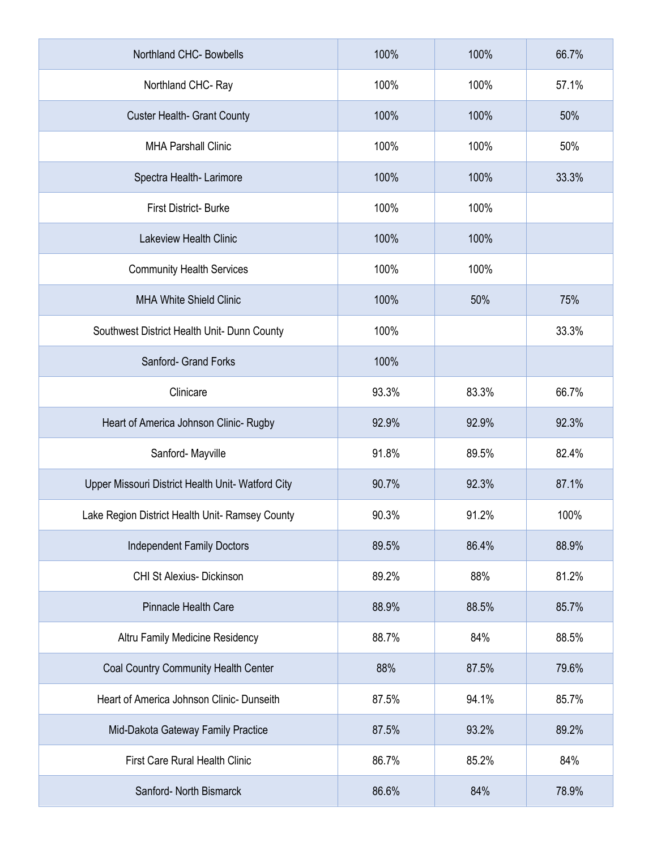| Northland CHC- Bowbells                           | 100%  | 100%  | 66.7% |
|---------------------------------------------------|-------|-------|-------|
| Northland CHC-Ray                                 | 100%  | 100%  | 57.1% |
| <b>Custer Health- Grant County</b>                | 100%  | 100%  | 50%   |
| <b>MHA Parshall Clinic</b>                        | 100%  | 100%  | 50%   |
| Spectra Health-Larimore                           | 100%  | 100%  | 33.3% |
| <b>First District-Burke</b>                       | 100%  | 100%  |       |
| <b>Lakeview Health Clinic</b>                     | 100%  | 100%  |       |
| <b>Community Health Services</b>                  | 100%  | 100%  |       |
| <b>MHA White Shield Clinic</b>                    | 100%  | 50%   | 75%   |
| Southwest District Health Unit- Dunn County       | 100%  |       | 33.3% |
| Sanford- Grand Forks                              | 100%  |       |       |
| Clinicare                                         | 93.3% | 83.3% | 66.7% |
| Heart of America Johnson Clinic- Rugby            | 92.9% | 92.9% | 92.3% |
| Sanford-Mayville                                  | 91.8% | 89.5% | 82.4% |
| Upper Missouri District Health Unit- Watford City | 90.7% | 92.3% | 87.1% |
| Lake Region District Health Unit- Ramsey County   | 90.3% | 91.2% | 100%  |
| <b>Independent Family Doctors</b>                 | 89.5% | 86.4% | 88.9% |
| CHI St Alexius- Dickinson                         | 89.2% | 88%   | 81.2% |
| Pinnacle Health Care                              | 88.9% | 88.5% | 85.7% |
| Altru Family Medicine Residency                   | 88.7% | 84%   | 88.5% |
| Coal Country Community Health Center              | 88%   | 87.5% | 79.6% |
| Heart of America Johnson Clinic- Dunseith         | 87.5% | 94.1% | 85.7% |
| Mid-Dakota Gateway Family Practice                | 87.5% | 93.2% | 89.2% |
| <b>First Care Rural Health Clinic</b>             | 86.7% | 85.2% | 84%   |
| Sanford- North Bismarck                           | 86.6% | 84%   | 78.9% |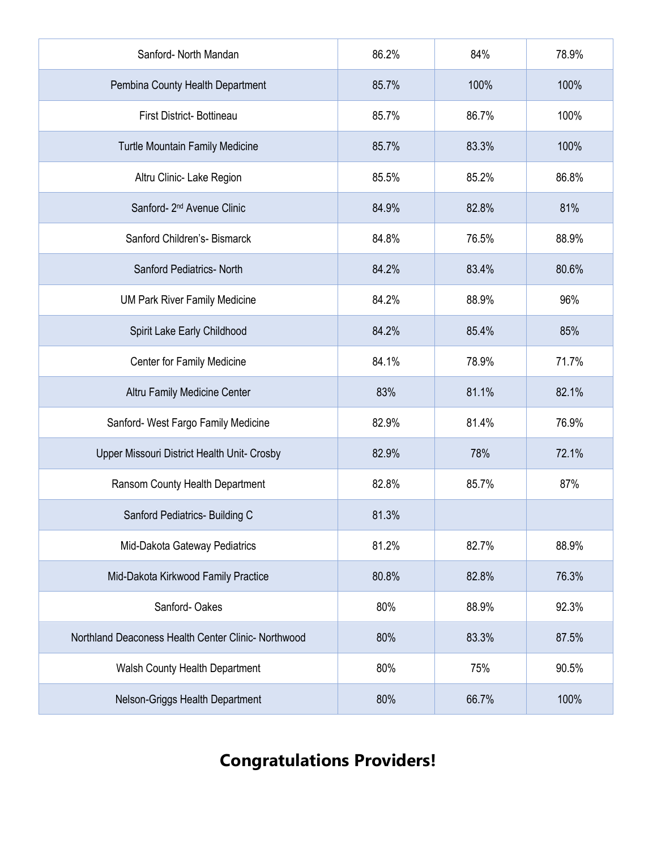| Sanford- North Mandan                               | 86.2% | 84%   | 78.9% |
|-----------------------------------------------------|-------|-------|-------|
| Pembina County Health Department                    | 85.7% | 100%  | 100%  |
| First District- Bottineau                           | 85.7% | 86.7% | 100%  |
| Turtle Mountain Family Medicine                     | 85.7% | 83.3% | 100%  |
| Altru Clinic- Lake Region                           | 85.5% | 85.2% | 86.8% |
| Sanford- 2 <sup>nd</sup> Avenue Clinic              | 84.9% | 82.8% | 81%   |
| Sanford Children's- Bismarck                        | 84.8% | 76.5% | 88.9% |
| Sanford Pediatrics- North                           | 84.2% | 83.4% | 80.6% |
| <b>UM Park River Family Medicine</b>                | 84.2% | 88.9% | 96%   |
| Spirit Lake Early Childhood                         | 84.2% | 85.4% | 85%   |
| Center for Family Medicine                          | 84.1% | 78.9% | 71.7% |
| Altru Family Medicine Center                        | 83%   | 81.1% | 82.1% |
| Sanford- West Fargo Family Medicine                 | 82.9% | 81.4% | 76.9% |
| Upper Missouri District Health Unit- Crosby         | 82.9% | 78%   | 72.1% |
| Ransom County Health Department                     | 82.8% | 85.7% | 87%   |
| Sanford Pediatrics- Building C                      | 81.3% |       |       |
| Mid-Dakota Gateway Pediatrics                       | 81.2% | 82.7% | 88.9% |
| Mid-Dakota Kirkwood Family Practice                 | 80.8% | 82.8% | 76.3% |
| Sanford-Oakes                                       | 80%   | 88.9% | 92.3% |
| Northland Deaconess Health Center Clinic- Northwood | 80%   | 83.3% | 87.5% |
| Walsh County Health Department                      | 80%   | 75%   | 90.5% |
| Nelson-Griggs Health Department                     | 80%   | 66.7% | 100%  |

## **Congratulations Providers!**